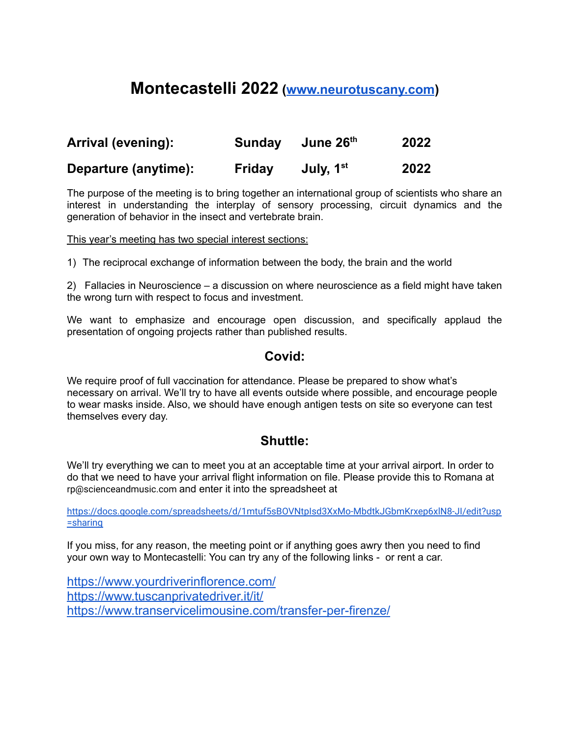### **Montecastelli 2022 ([www.neurotuscany.com](http://www.neurotuscany.com))**

| Arrival (evening):   | Sunday | June 26th             | 2022 |
|----------------------|--------|-----------------------|------|
| Departure (anytime): | Friday | July, 1 <sup>st</sup> | 2022 |

The purpose of the meeting is to bring together an international group of scientists who share an interest in understanding the interplay of sensory processing, circuit dynamics and the generation of behavior in the insect and vertebrate brain.

This year's meeting has two special interest sections:

1) The reciprocal exchange of information between the body, the brain and the world

2) Fallacies in Neuroscience – a discussion on where neuroscience as a field might have taken the wrong turn with respect to focus and investment.

We want to emphasize and encourage open discussion, and specifically applaud the presentation of ongoing projects rather than published results.

### **Covid:**

We require proof of full vaccination for attendance. Please be prepared to show what's necessary on arrival. We'll try to have all events outside where possible, and encourage people to wear masks inside. Also, we should have enough antigen tests on site so everyone can test themselves every day.

### **Shuttle:**

We'll try everything we can to meet you at an acceptable time at your arrival airport. In order to do that we need to have your arrival flight information on file. Please provide this to Romana at rp@scienceandmusic.com and enter it into the spreadsheet at

[https://docs.google.com/spreadsheets/d/1mtuf5sBOVNtpIsd3XxMo-MbdtkJGbmKrxep6xlN8-JI/edit?usp](https://docs.google.com/spreadsheets/d/1mtuf5sBOVNtpIsd3XxMo-MbdtkJGbmKrxep6xlN8-JI/edit?usp=sharing) [=sharing](https://docs.google.com/spreadsheets/d/1mtuf5sBOVNtpIsd3XxMo-MbdtkJGbmKrxep6xlN8-JI/edit?usp=sharing)

If you miss, for any reason, the meeting point or if anything goes awry then you need to find your own way to Montecastelli: You can try any of the following links - or rent a car.

<https://www.yourdriverinflorence.com/> <https://www.tuscanprivatedriver.it/it/> <https://www.transervicelimousine.com/transfer-per-firenze/>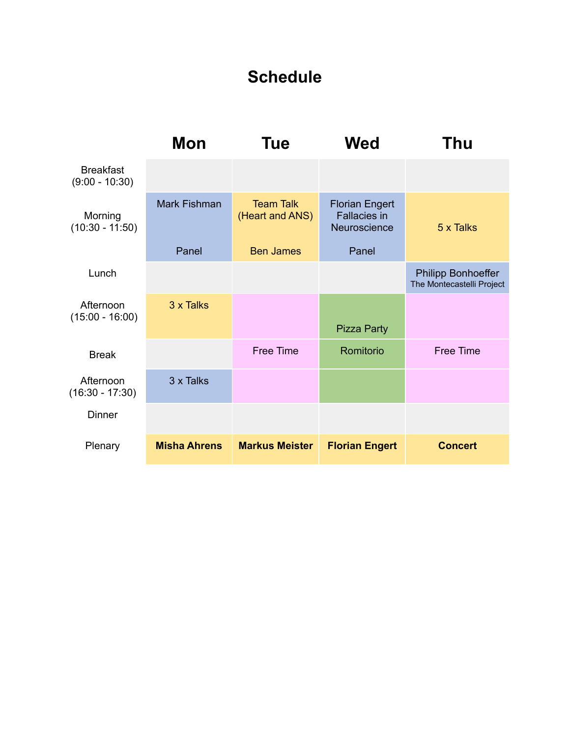## **Schedule**

|                                      | Mon                 | <b>Tue</b>                          | <b>Wed</b>                                                   | Thu                                                    |
|--------------------------------------|---------------------|-------------------------------------|--------------------------------------------------------------|--------------------------------------------------------|
| <b>Breakfast</b><br>$(9:00 - 10:30)$ |                     |                                     |                                                              |                                                        |
| Morning<br>$(10:30 - 11:50)$         | <b>Mark Fishman</b> | <b>Team Talk</b><br>(Heart and ANS) | <b>Florian Engert</b><br><b>Fallacies in</b><br>Neuroscience | 5 x Talks                                              |
|                                      | Panel               | <b>Ben James</b>                    | Panel                                                        |                                                        |
| Lunch                                |                     |                                     |                                                              | <b>Philipp Bonhoeffer</b><br>The Montecastelli Project |
| Afternoon<br>$(15:00 - 16:00)$       | 3 x Talks           |                                     | <b>Pizza Party</b>                                           |                                                        |
| <b>Break</b>                         |                     | <b>Free Time</b>                    | Romitorio                                                    | <b>Free Time</b>                                       |
| Afternoon<br>$(16:30 - 17:30)$       | 3 x Talks           |                                     |                                                              |                                                        |
| Dinner                               |                     |                                     |                                                              |                                                        |
| Plenary                              | <b>Misha Ahrens</b> | <b>Markus Meister</b>               | <b>Florian Engert</b>                                        | <b>Concert</b>                                         |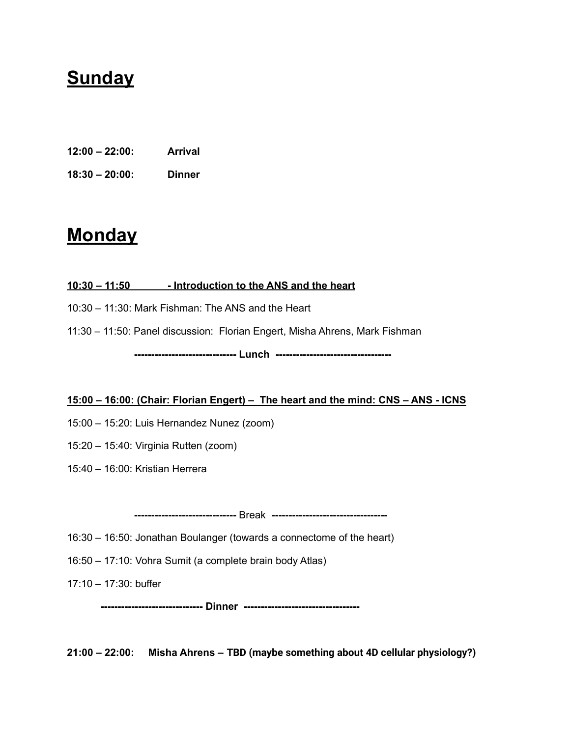## **Sunday**

- **12:00 – 22:00: Arrival**
- **18:30 – 20:00: Dinner**

## **Monday**

#### **10:30 – 11:50 - Introduction to the ANS and the heart**

- 10:30 11:30: Mark Fishman: The ANS and the Heart
- 11:30 11:50: Panel discussion: Florian Engert, Misha Ahrens, Mark Fishman

**------------------------------ Lunch ----------------------------------**

#### **15:00 – 16:00: (Chair: Florian Engert) – The heart and the mind: CNS – ANS - ICNS**

- 15:00 15:20: Luis Hernandez Nunez (zoom)
- 15:20 15:40: Virginia Rutten (zoom)
- 15:40 16:00: Kristian Herrera

**------------------------------** Break **----------------------------------**

- 16:30 16:50: Jonathan Boulanger (towards a connectome of the heart)
- 16:50 17:10: Vohra Sumit (a complete brain body Atlas)
- 17:10 17:30: buffer

**------------------------------ Dinner ----------------------------------**

**21:00 – 22:00: Misha Ahrens – TBD (maybe something about 4D cellular physiology?)**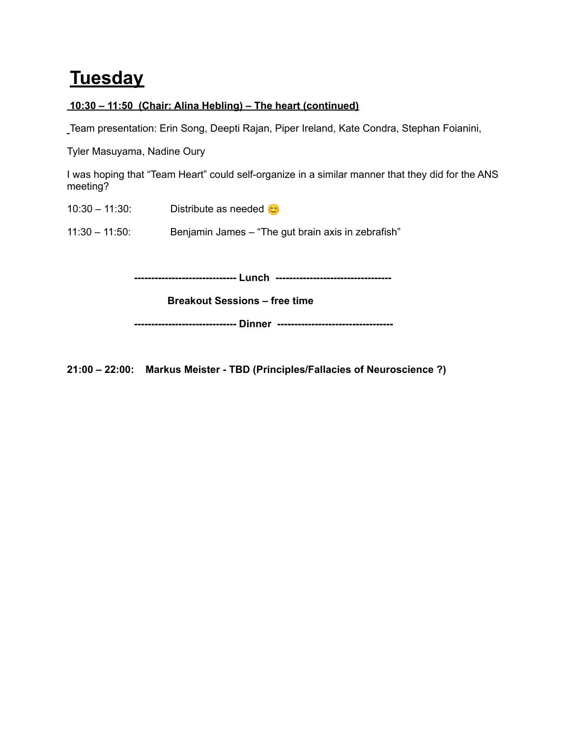## **Tuesday**

### **10:30 – 11:50 (Chair: Alina Hebling) – The heart (continued)**

Team presentation: Erin Song, Deepti Rajan, Piper Ireland, Kate Condra, Stephan Foianini,

Tyler Masuyama, Nadine Oury

I was hoping that "Team Heart" could self-organize in a similar manner that they did for the ANS meeting?

10:30 – 11:30: Distribute as needed  $\circ$ 

11:30 – 11:50: Benjamin James – "The gut brain axis in zebrafish"

**------------------------------ Lunch ----------------------------------**

**Breakout Sessions – free time**

**------------------------------ Dinner ----------------------------------**

**21:00 – 22:00: Markus Meister - TBD (Principles/Fallacies of Neuroscience ?)**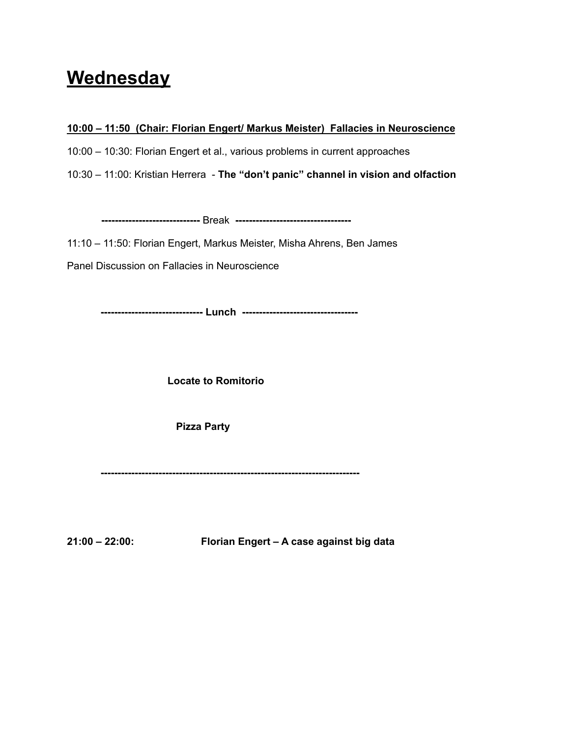## **Wednesday**

**10:00 – 11:50 (Chair: Florian Engert/ Markus Meister) Fallacies in Neuroscience**

10:00 – 10:30: Florian Engert et al., various problems in current approaches

10:30 – 11:00: Kristian Herrera - **The "don't panic" channel in vision and olfaction**

**-----------------------------** Break **----------------------------------**

11:10 – 11:50: Florian Engert, Markus Meister, Misha Ahrens, Ben James

Panel Discussion on Fallacies in Neuroscience

**------------------------------ Lunch ----------------------------------**

**Locate to Romitorio**

**Pizza Party**

**----------------------------------------------------------------------------**

**21:00 – 22:00: Florian Engert – A case against big data**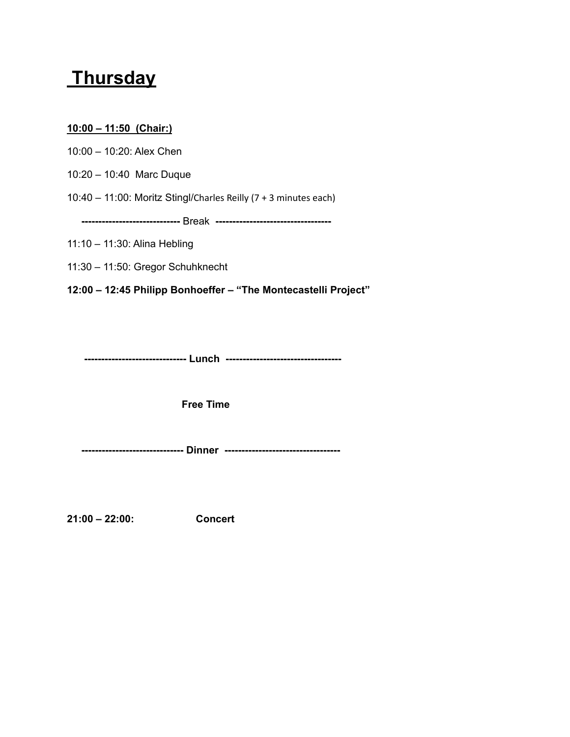## **Thursday**

### **10:00 – 11:50 (Chair:)**

10:00 – 10:20: Alex Chen

10:20 – 10:40 Marc Duque

10:40 – 11:00: Moritz Stingl/Charles Reilly (7 + 3 minutes each)

**-----------------------------** Break **----------------------------------**

11:10 – 11:30: Alina Hebling

11:30 – 11:50: Gregor Schuhknecht

**12:00 – 12:45 Philipp Bonhoeffer – "The Montecastelli Project"**

**------------------------------ Lunch ----------------------------------**

**Free Time**

**------------------------------ Dinner ----------------------------------**

**21:00 – 22:00: Concert**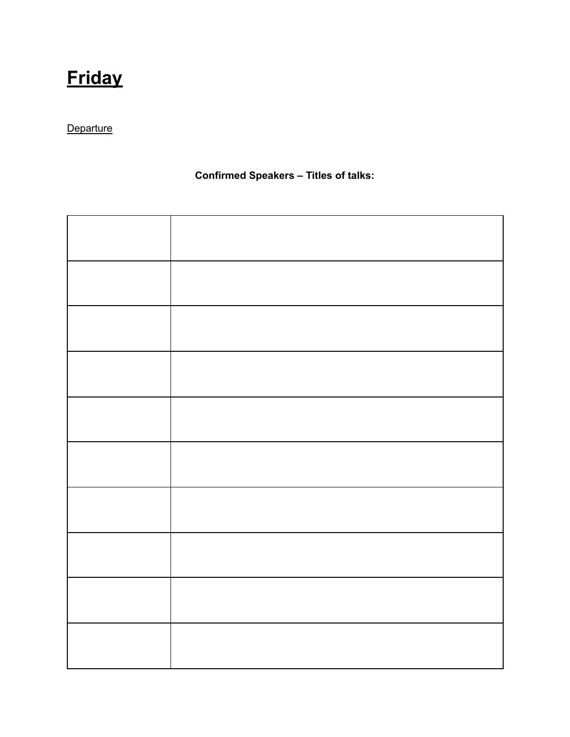# **Friday**

### **Departure**

### **Confirmed Speakers – Titles of talks:**